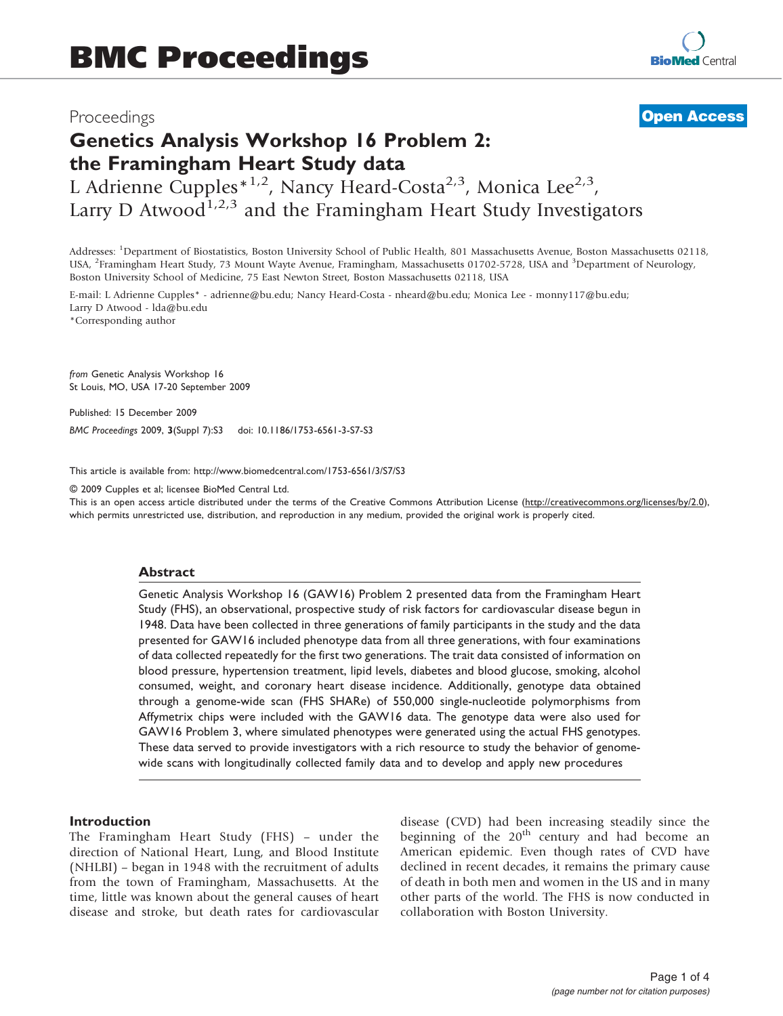### Proceedings

## **[Open Access](http://www.biomedcentral.com/info/about/charter/)**

# Genetics Analysis Workshop 16 Problem 2: the Framingham Heart Study data

L Adrienne Cupples<sup>\*1,2</sup>, Nancy Heard-Costa<sup>2,3</sup>, Monica Lee<sup>2,3</sup>, Larry D Atwood<sup>1,2,3</sup> and the Framingham Heart Study Investigators

Addresses: <sup>1</sup> Department of Biostatistics, Boston University School of Public Health, 801 Massachusetts Avenue, Boston Massachusetts 02118, USA, <sup>2</sup>Framingham Heart Study, 73 Mount Wayte Avenue, Framingham, Massachusetts 01702-5728, USA and <sup>3</sup>Department of Neurology, Boston University School of Medicine, 75 East Newton Street, Boston Massachusetts 02118, USA

E-mail: L Adrienne Cupples\* - [adrienne@bu.edu;](mailto:adrienne@bu.edu) Nancy Heard-Costa - [nheard@bu.edu;](mailto:nheard@bu.edu) Monica Lee - [monny117@bu.edu;](mailto:monny117@bu.edu) Larry D Atwood - [lda@bu.edu](mailto:lda@bu.edu)

\*Corresponding author

from Genetic Analysis Workshop 16 St Louis, MO, USA 17-20 September 2009

Published: 15 December 2009

BMC Proceedings 2009, 3(Suppl 7):S3 doi: 10.1186/1753-6561-3-S7-S3

This article is available from: http://www.biomedcentral.com/1753-6561/3/S7/S3

© 2009 Cupples et al; licensee BioMed Central Ltd.

This is an open access article distributed under the terms of the Creative Commons Attribution License [\(http://creativecommons.org/licenses/by/2.0\)](http://creativecommons.org/licenses/by/2.0), which permits unrestricted use, distribution, and reproduction in any medium, provided the original work is properly cited.

#### Abstract

Genetic Analysis Workshop 16 (GAW16) Problem 2 presented data from the Framingham Heart Study (FHS), an observational, prospective study of risk factors for cardiovascular disease begun in 1948. Data have been collected in three generations of family participants in the study and the data presented for GAW16 included phenotype data from all three generations, with four examinations of data collected repeatedly for the first two generations. The trait data consisted of information on blood pressure, hypertension treatment, lipid levels, diabetes and blood glucose, smoking, alcohol consumed, weight, and coronary heart disease incidence. Additionally, genotype data obtained through a genome-wide scan (FHS SHARe) of 550,000 single-nucleotide polymorphisms from Affymetrix chips were included with the GAW16 data. The genotype data were also used for GAW16 Problem 3, where simulated phenotypes were generated using the actual FHS genotypes. These data served to provide investigators with a rich resource to study the behavior of genomewide scans with longitudinally collected family data and to develop and apply new procedures

#### Introduction

The Framingham Heart Study (FHS) – under the direction of National Heart, Lung, and Blood Institute (NHLBI) – began in 1948 with the recruitment of adults from the town of Framingham, Massachusetts. At the time, little was known about the general causes of heart disease and stroke, but death rates for cardiovascular disease (CVD) had been increasing steadily since the beginning of the  $20<sup>th</sup>$  century and had become an American epidemic. Even though rates of CVD have declined in recent decades, it remains the primary cause of death in both men and women in the US and in many other parts of the world. The FHS is now conducted in collaboration with Boston University.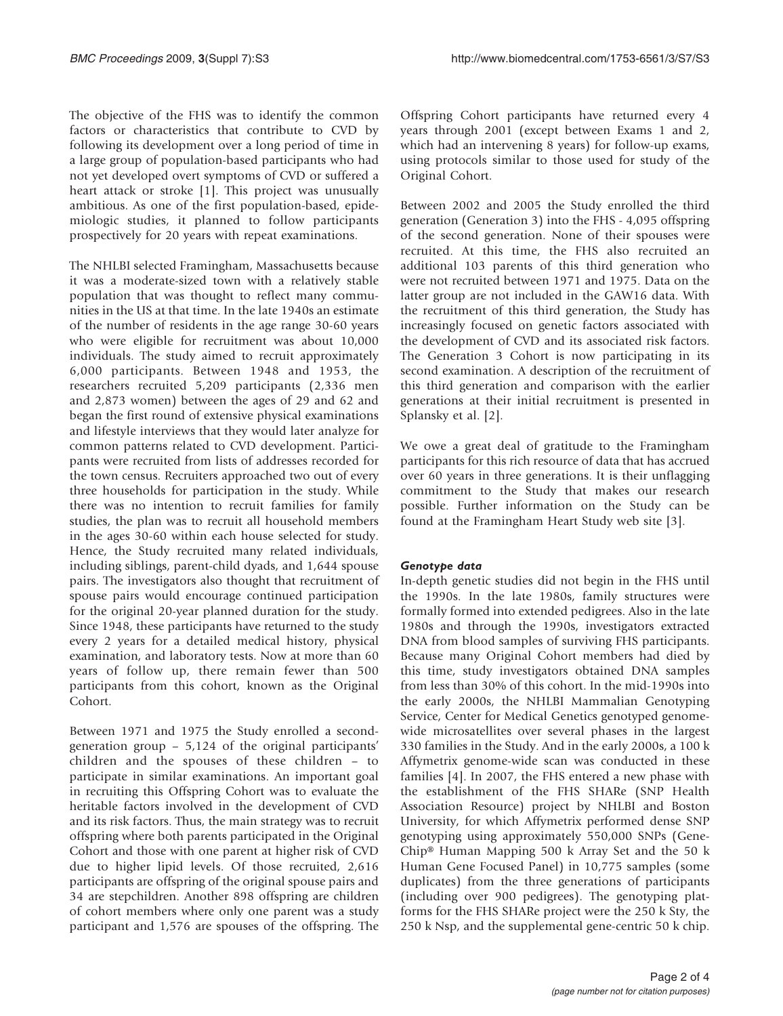The objective of the FHS was to identify the common factors or characteristics that contribute to CVD by following its development over a long period of time in a large group of population-based participants who had not yet developed overt symptoms of CVD or suffered a heart attack or stroke [[1](#page-3-0)]. This project was unusually ambitious. As one of the first population-based, epidemiologic studies, it planned to follow participants prospectively for 20 years with repeat examinations.

The NHLBI selected Framingham, Massachusetts because it was a moderate-sized town with a relatively stable population that was thought to reflect many communities in the US at that time. In the late 1940s an estimate of the number of residents in the age range 30-60 years who were eligible for recruitment was about 10,000 individuals. The study aimed to recruit approximately 6,000 participants. Between 1948 and 1953, the researchers recruited 5,209 participants (2,336 men and 2,873 women) between the ages of 29 and 62 and began the first round of extensive physical examinations and lifestyle interviews that they would later analyze for common patterns related to CVD development. Participants were recruited from lists of addresses recorded for the town census. Recruiters approached two out of every three households for participation in the study. While there was no intention to recruit families for family studies, the plan was to recruit all household members in the ages 30-60 within each house selected for study. Hence, the Study recruited many related individuals, including siblings, parent-child dyads, and 1,644 spouse pairs. The investigators also thought that recruitment of spouse pairs would encourage continued participation for the original 20-year planned duration for the study. Since 1948, these participants have returned to the study every 2 years for a detailed medical history, physical examination, and laboratory tests. Now at more than 60 years of follow up, there remain fewer than 500 participants from this cohort, known as the Original Cohort.

Between 1971 and 1975 the Study enrolled a secondgeneration group – 5,124 of the original participants' children and the spouses of these children – to participate in similar examinations. An important goal in recruiting this Offspring Cohort was to evaluate the heritable factors involved in the development of CVD and its risk factors. Thus, the main strategy was to recruit offspring where both parents participated in the Original Cohort and those with one parent at higher risk of CVD due to higher lipid levels. Of those recruited, 2,616 participants are offspring of the original spouse pairs and 34 are stepchildren. Another 898 offspring are children of cohort members where only one parent was a study participant and 1,576 are spouses of the offspring. The Offspring Cohort participants have returned every 4 years through 2001 (except between Exams 1 and 2, which had an intervening 8 years) for follow-up exams, using protocols similar to those used for study of the Original Cohort.

Between 2002 and 2005 the Study enrolled the third generation (Generation 3) into the FHS - 4,095 offspring of the second generation. None of their spouses were recruited. At this time, the FHS also recruited an additional 103 parents of this third generation who were not recruited between 1971 and 1975. Data on the latter group are not included in the GAW16 data. With the recruitment of this third generation, the Study has increasingly focused on genetic factors associated with the development of CVD and its associated risk factors. The Generation 3 Cohort is now participating in its second examination. A description of the recruitment of this third generation and comparison with the earlier generations at their initial recruitment is presented in Splansky et al. [[2](#page-3-0)].

We owe a great deal of gratitude to the Framingham participants for this rich resource of data that has accrued over 60 years in three generations. It is their unflagging commitment to the Study that makes our research possible. Further information on the Study can be found at the Framingham Heart Study web site [[3](#page-3-0)].

#### Genotype data

In-depth genetic studies did not begin in the FHS until the 1990s. In the late 1980s, family structures were formally formed into extended pedigrees. Also in the late 1980s and through the 1990s, investigators extracted DNA from blood samples of surviving FHS participants. Because many Original Cohort members had died by this time, study investigators obtained DNA samples from less than 30% of this cohort. In the mid-1990s into the early 2000s, the NHLBI Mammalian Genotyping Service, Center for Medical Genetics genotyped genomewide microsatellites over several phases in the largest 330 families in the Study. And in the early 2000s, a 100 k Affymetrix genome-wide scan was conducted in these families [\[4\]](#page-3-0). In 2007, the FHS entered a new phase with the establishment of the FHS SHARe (SNP Health Association Resource) project by NHLBI and Boston University, for which Affymetrix performed dense SNP genotyping using approximately 550,000 SNPs (Gene-Chip® Human Mapping 500 k Array Set and the 50 k Human Gene Focused Panel) in 10,775 samples (some duplicates) from the three generations of participants (including over 900 pedigrees). The genotyping platforms for the FHS SHARe project were the 250 k Sty, the 250 k Nsp, and the supplemental gene-centric 50 k chip.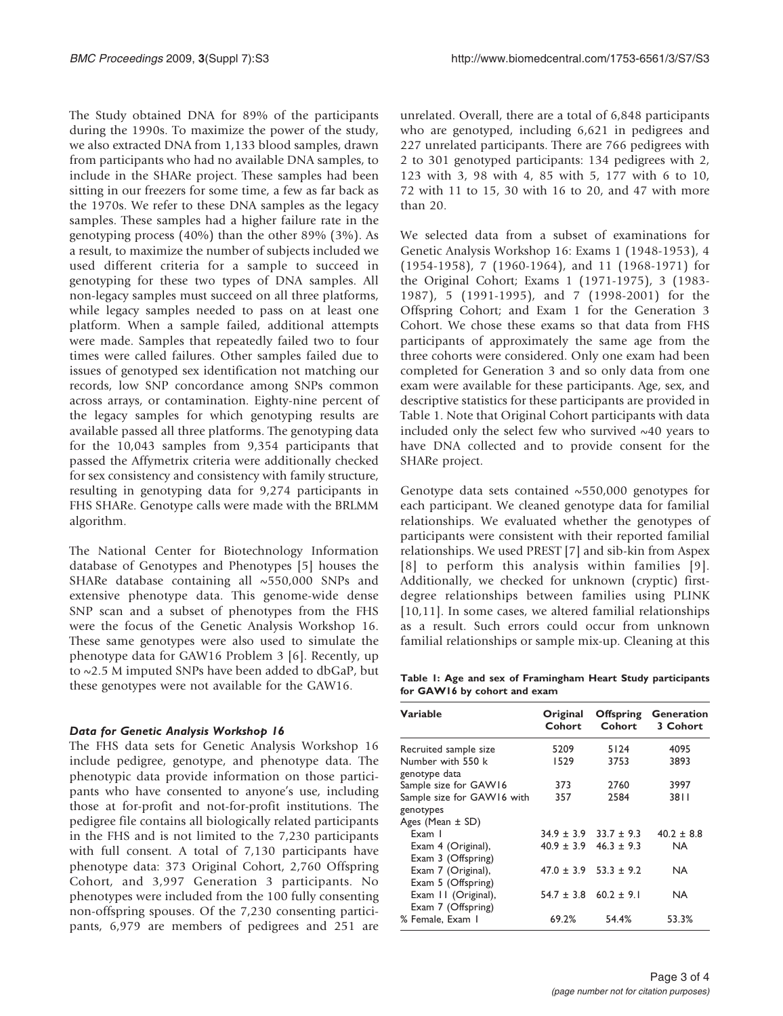The Study obtained DNA for 89% of the participants during the 1990s. To maximize the power of the study, we also extracted DNA from 1,133 blood samples, drawn from participants who had no available DNA samples, to include in the SHARe project. These samples had been sitting in our freezers for some time, a few as far back as the 1970s. We refer to these DNA samples as the legacy samples. These samples had a higher failure rate in the genotyping process (40%) than the other 89% (3%). As a result, to maximize the number of subjects included we used different criteria for a sample to succeed in genotyping for these two types of DNA samples. All non-legacy samples must succeed on all three platforms, while legacy samples needed to pass on at least one platform. When a sample failed, additional attempts were made. Samples that repeatedly failed two to four times were called failures. Other samples failed due to issues of genotyped sex identification not matching our records, low SNP concordance among SNPs common across arrays, or contamination. Eighty-nine percent of the legacy samples for which genotyping results are available passed all three platforms. The genotyping data for the 10,043 samples from 9,354 participants that passed the Affymetrix criteria were additionally checked for sex consistency and consistency with family structure, resulting in genotyping data for 9,274 participants in FHS SHARe. Genotype calls were made with the BRLMM algorithm.

The National Center for Biotechnology Information database of Genotypes and Phenotypes [\[5\]](#page-3-0) houses the SHARe database containing all ~550,000 SNPs and extensive phenotype data. This genome-wide dense SNP scan and a subset of phenotypes from the FHS were the focus of the Genetic Analysis Workshop 16. These same genotypes were also used to simulate the phenotype data for GAW16 Problem 3 [[6](#page-3-0)]. Recently, up to ~2.5 M imputed SNPs have been added to dbGaP, but these genotypes were not available for the GAW16.

#### Data for Genetic Analysis Workshop 16

The FHS data sets for Genetic Analysis Workshop 16 include pedigree, genotype, and phenotype data. The phenotypic data provide information on those participants who have consented to anyone's use, including those at for-profit and not-for-profit institutions. The pedigree file contains all biologically related participants in the FHS and is not limited to the 7,230 participants with full consent. A total of 7,130 participants have phenotype data: 373 Original Cohort, 2,760 Offspring Cohort, and 3,997 Generation 3 participants. No phenotypes were included from the 100 fully consenting non-offspring spouses. Of the 7,230 consenting participants, 6,979 are members of pedigrees and 251 are unrelated. Overall, there are a total of 6,848 participants who are genotyped, including 6,621 in pedigrees and 227 unrelated participants. There are 766 pedigrees with 2 to 301 genotyped participants: 134 pedigrees with 2, 123 with 3, 98 with 4, 85 with 5, 177 with 6 to 10, 72 with 11 to 15, 30 with 16 to 20, and 47 with more than 20.

We selected data from a subset of examinations for Genetic Analysis Workshop 16: Exams 1 (1948-1953), 4 (1954-1958), 7 (1960-1964), and 11 (1968-1971) for the Original Cohort; Exams 1 (1971-1975), 3 (1983- 1987), 5 (1991-1995), and 7 (1998-2001) for the Offspring Cohort; and Exam 1 for the Generation 3 Cohort. We chose these exams so that data from FHS participants of approximately the same age from the three cohorts were considered. Only one exam had been completed for Generation 3 and so only data from one exam were available for these participants. Age, sex, and descriptive statistics for these participants are provided in Table 1. Note that Original Cohort participants with data included only the select few who survived ~40 years to have DNA collected and to provide consent for the SHARe project.

Genotype data sets contained  $\sim$  550,000 genotypes for each participant. We cleaned genotype data for familial relationships. We evaluated whether the genotypes of participants were consistent with their reported familial relationships. We used PREST [[7\]](#page-3-0) and sib-kin from Aspex [[8\]](#page-3-0) to perform this analysis within families [[9\]](#page-3-0). Additionally, we checked for unknown (cryptic) firstdegree relationships between families using PLINK [[10](#page-3-0),[11](#page-3-0)]. In some cases, we altered familial relationships as a result. Such errors could occur from unknown familial relationships or sample mix-up. Cleaning at this

Table 1: Age and sex of Framingham Heart Study participants for GAW16 by cohort and exam

| Variable                           | Original<br>Cohort | <b>Offspring</b><br>Cohort | <b>Generation</b><br>3 Cohort |
|------------------------------------|--------------------|----------------------------|-------------------------------|
| Recruited sample size              | 5209               | 5124                       | 4095                          |
| Number with 550 k<br>genotype data | 1529               | 3753                       | 3893                          |
| Sample size for GAW16              | 373                | 2760                       | 3997                          |
| Sample size for GAW16 with         | 357                | 2584                       | 38 I I                        |
| genotypes                          |                    |                            |                               |
| Ages (Mean $\pm$ SD)               |                    |                            |                               |
| Exam I                             | $34.9 \pm 3.9$     | $33.7 \pm 9.3$             | $40.2 \pm 8.8$                |
| Exam 4 (Original),                 | $40.9 \pm 3.9$     | $46.3 \pm 9.3$             | <b>NA</b>                     |
| Exam 3 (Offspring)                 |                    |                            |                               |
| Exam 7 (Original),                 | $47.0 \pm 3.9$     | $53.3 + 9.2$               | <b>NA</b>                     |
| Exam 5 (Offspring)                 |                    |                            |                               |
| Exam II (Original),                | $54.7 \pm 3.8$     | $60.2 \pm 9.1$             | NA.                           |
| Exam 7 (Offspring)                 |                    |                            |                               |
| % Female, Exam 1                   | 69.2%              | 54.4%                      | 53.3%                         |